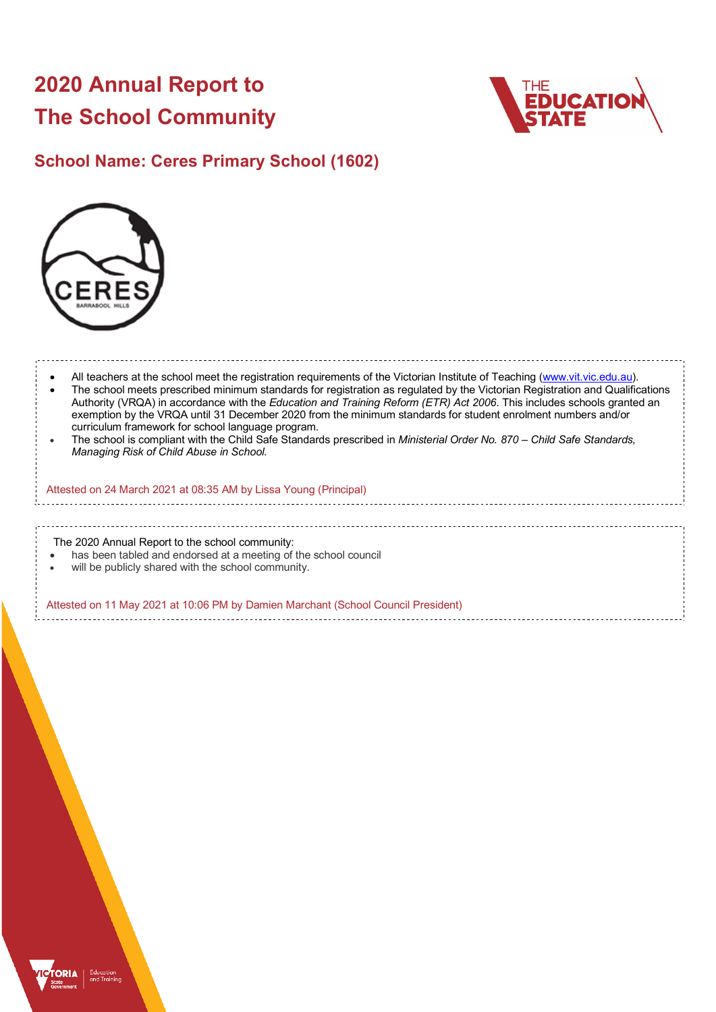# **2020 Annual Report to The School Community**



## **School Name: Ceres Primary School (1602)**



- All teachers at the school meet the registration requirements of the Victorian Institute of Teaching (www.vit.vic.edu.au). • The school meets prescribed minimum standards for registration as regulated by the Victorian Registration and Qualifications Authority (VRQA) in accordance with the *Education and Training Reform (ETR) Act 2006*. This includes schools granted an exemption by the VRQA until 31 December 2020 from the minimum standards for student enrolment numbers and/or curriculum framework for school language program.
- The school is compliant with the Child Safe Standards prescribed in *Ministerial Order No. 870 – Child Safe Standards, Managing Risk of Child Abuse in School*.

#### Attested on 24 March 2021 at 08:35 AM by Lissa Young (Principal)

The 2020 Annual Report to the school community:

- has been tabled and endorsed at a meeting of the school council
- will be publicly shared with the school community.

Attested on 11 May 2021 at 10:06 PM by Damien Marchant (School Council President)

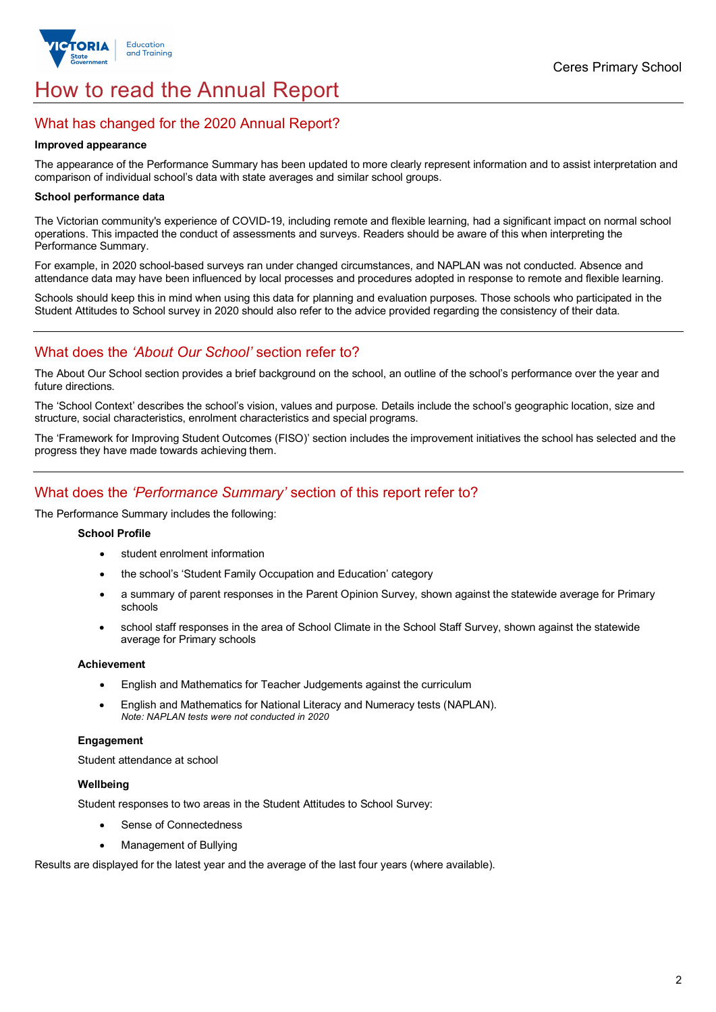

# How to read the Annual Report

## What has changed for the 2020 Annual Report?

#### **Improved appearance**

The appearance of the Performance Summary has been updated to more clearly represent information and to assist interpretation and comparison of individual school's data with state averages and similar school groups.

#### **School performance data**

The Victorian community's experience of COVID-19, including remote and flexible learning, had a significant impact on normal school operations. This impacted the conduct of assessments and surveys. Readers should be aware of this when interpreting the Performance Summary.

For example, in 2020 school-based surveys ran under changed circumstances, and NAPLAN was not conducted. Absence and attendance data may have been influenced by local processes and procedures adopted in response to remote and flexible learning.

Schools should keep this in mind when using this data for planning and evaluation purposes. Those schools who participated in the Student Attitudes to School survey in 2020 should also refer to the advice provided regarding the consistency of their data.

## What does the *'About Our School'* section refer to?

The About Our School section provides a brief background on the school, an outline of the school's performance over the year and future directions.

The 'School Context' describes the school's vision, values and purpose. Details include the school's geographic location, size and structure, social characteristics, enrolment characteristics and special programs.

The 'Framework for Improving Student Outcomes (FISO)' section includes the improvement initiatives the school has selected and the progress they have made towards achieving them.

## What does the *'Performance Summary'* section of this report refer to?

The Performance Summary includes the following:

### **School Profile**

- student enrolment information
- the school's 'Student Family Occupation and Education' category
- a summary of parent responses in the Parent Opinion Survey, shown against the statewide average for Primary schools
- school staff responses in the area of School Climate in the School Staff Survey, shown against the statewide average for Primary schools

#### **Achievement**

- English and Mathematics for Teacher Judgements against the curriculum
- English and Mathematics for National Literacy and Numeracy tests (NAPLAN). *Note: NAPLAN tests were not conducted in 2020*

#### **Engagement**

Student attendance at school

#### **Wellbeing**

Student responses to two areas in the Student Attitudes to School Survey:

- Sense of Connectedness
- Management of Bullying

Results are displayed for the latest year and the average of the last four years (where available).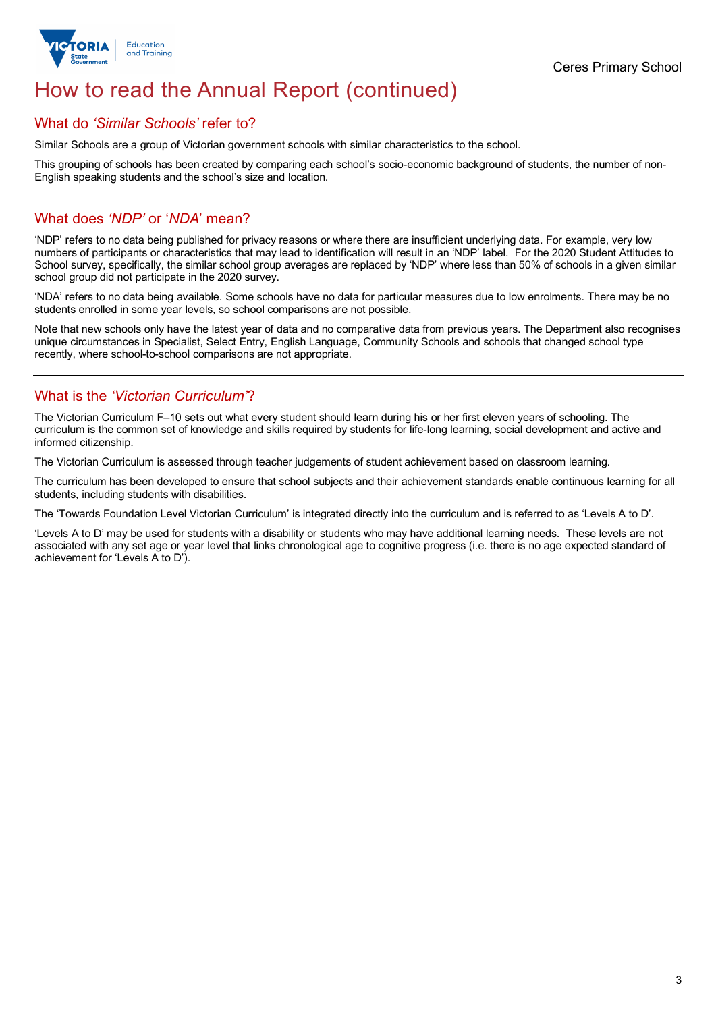

## How to read the Annual Report (continued)

### What do *'Similar Schools'* refer to?

Similar Schools are a group of Victorian government schools with similar characteristics to the school.

This grouping of schools has been created by comparing each school's socio-economic background of students, the number of non-English speaking students and the school's size and location.

## What does *'NDP'* or '*NDA*' mean?

'NDP' refers to no data being published for privacy reasons or where there are insufficient underlying data. For example, very low numbers of participants or characteristics that may lead to identification will result in an 'NDP' label. For the 2020 Student Attitudes to School survey, specifically, the similar school group averages are replaced by 'NDP' where less than 50% of schools in a given similar school group did not participate in the 2020 survey.

'NDA' refers to no data being available. Some schools have no data for particular measures due to low enrolments. There may be no students enrolled in some year levels, so school comparisons are not possible.

Note that new schools only have the latest year of data and no comparative data from previous years. The Department also recognises unique circumstances in Specialist, Select Entry, English Language, Community Schools and schools that changed school type recently, where school-to-school comparisons are not appropriate.

## What is the *'Victorian Curriculum'*?

The Victorian Curriculum F–10 sets out what every student should learn during his or her first eleven years of schooling. The curriculum is the common set of knowledge and skills required by students for life-long learning, social development and active and informed citizenship.

The Victorian Curriculum is assessed through teacher judgements of student achievement based on classroom learning.

The curriculum has been developed to ensure that school subjects and their achievement standards enable continuous learning for all students, including students with disabilities.

The 'Towards Foundation Level Victorian Curriculum' is integrated directly into the curriculum and is referred to as 'Levels A to D'.

'Levels A to D' may be used for students with a disability or students who may have additional learning needs. These levels are not associated with any set age or year level that links chronological age to cognitive progress (i.e. there is no age expected standard of achievement for 'Levels A to D').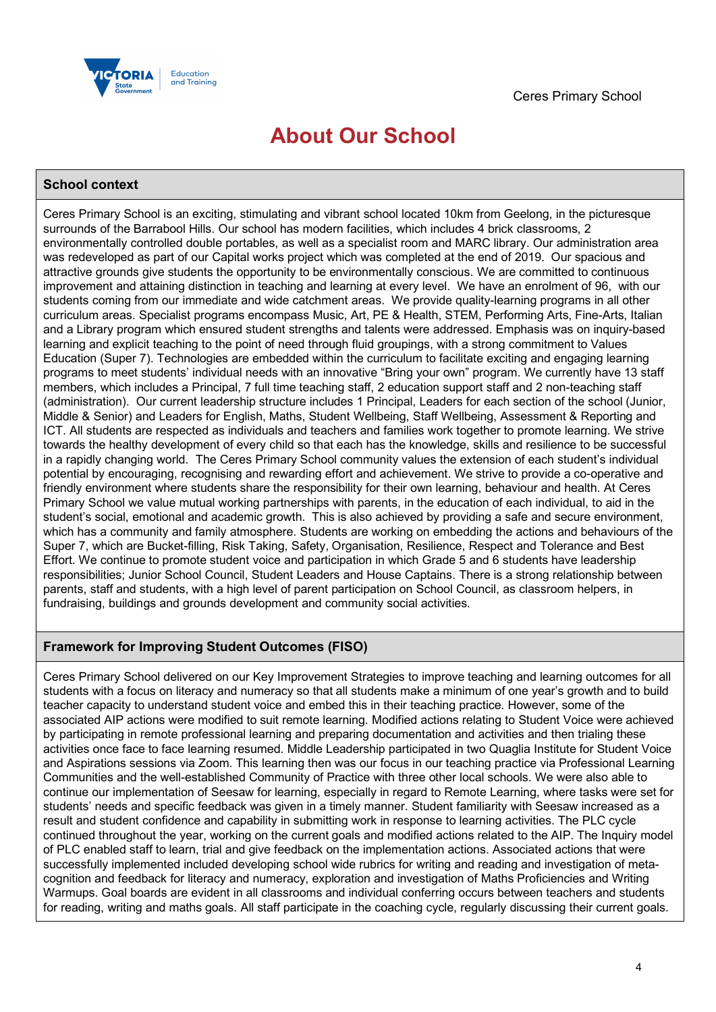

# **About Our School**

## **School context**

Ceres Primary School is an exciting, stimulating and vibrant school located 10km from Geelong, in the picturesque surrounds of the Barrabool Hills. Our school has modern facilities, which includes 4 brick classrooms, 2 environmentally controlled double portables, as well as a specialist room and MARC library. Our administration area was redeveloped as part of our Capital works project which was completed at the end of 2019. Our spacious and attractive grounds give students the opportunity to be environmentally conscious. We are committed to continuous improvement and attaining distinction in teaching and learning at every level. We have an enrolment of 96, with our students coming from our immediate and wide catchment areas. We provide quality-learning programs in all other curriculum areas. Specialist programs encompass Music, Art, PE & Health, STEM, Performing Arts, Fine-Arts, Italian and a Library program which ensured student strengths and talents were addressed. Emphasis was on inquiry-based learning and explicit teaching to the point of need through fluid groupings, with a strong commitment to Values Education (Super 7). Technologies are embedded within the curriculum to facilitate exciting and engaging learning programs to meet students' individual needs with an innovative "Bring your own" program. We currently have 13 staff members, which includes a Principal, 7 full time teaching staff, 2 education support staff and 2 non-teaching staff (administration). Our current leadership structure includes 1 Principal, Leaders for each section of the school (Junior, Middle & Senior) and Leaders for English, Maths, Student Wellbeing, Staff Wellbeing, Assessment & Reporting and ICT. All students are respected as individuals and teachers and families work together to promote learning. We strive towards the healthy development of every child so that each has the knowledge, skills and resilience to be successful in a rapidly changing world. The Ceres Primary School community values the extension of each student's individual potential by encouraging, recognising and rewarding effort and achievement. We strive to provide a co-operative and friendly environment where students share the responsibility for their own learning, behaviour and health. At Ceres Primary School we value mutual working partnerships with parents, in the education of each individual, to aid in the student's social, emotional and academic growth. This is also achieved by providing a safe and secure environment, which has a community and family atmosphere. Students are working on embedding the actions and behaviours of the Super 7, which are Bucket-filling, Risk Taking, Safety, Organisation, Resilience, Respect and Tolerance and Best Effort. We continue to promote student voice and participation in which Grade 5 and 6 students have leadership responsibilities; Junior School Council, Student Leaders and House Captains. There is a strong relationship between parents, staff and students, with a high level of parent participation on School Council, as classroom helpers, in fundraising, buildings and grounds development and community social activities.

## **Framework for Improving Student Outcomes (FISO)**

Ceres Primary School delivered on our Key Improvement Strategies to improve teaching and learning outcomes for all students with a focus on literacy and numeracy so that all students make a minimum of one year's growth and to build teacher capacity to understand student voice and embed this in their teaching practice. However, some of the associated AIP actions were modified to suit remote learning. Modified actions relating to Student Voice were achieved by participating in remote professional learning and preparing documentation and activities and then trialing these activities once face to face learning resumed. Middle Leadership participated in two Quaglia Institute for Student Voice and Aspirations sessions via Zoom. This learning then was our focus in our teaching practice via Professional Learning Communities and the well-established Community of Practice with three other local schools. We were also able to continue our implementation of Seesaw for learning, especially in regard to Remote Learning, where tasks were set for students' needs and specific feedback was given in a timely manner. Student familiarity with Seesaw increased as a result and student confidence and capability in submitting work in response to learning activities. The PLC cycle continued throughout the year, working on the current goals and modified actions related to the AIP. The Inquiry model of PLC enabled staff to learn, trial and give feedback on the implementation actions. Associated actions that were successfully implemented included developing school wide rubrics for writing and reading and investigation of metacognition and feedback for literacy and numeracy, exploration and investigation of Maths Proficiencies and Writing Warmups. Goal boards are evident in all classrooms and individual conferring occurs between teachers and students for reading, writing and maths goals. All staff participate in the coaching cycle, regularly discussing their current goals.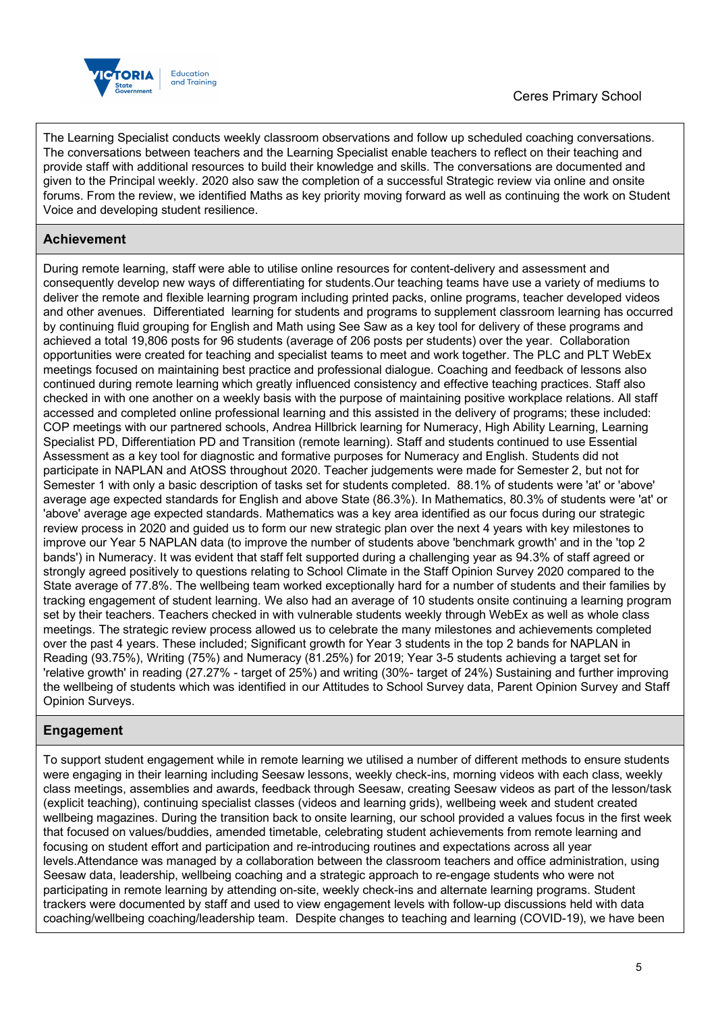

The Learning Specialist conducts weekly classroom observations and follow up scheduled coaching conversations. The conversations between teachers and the Learning Specialist enable teachers to reflect on their teaching and provide staff with additional resources to build their knowledge and skills. The conversations are documented and given to the Principal weekly. 2020 also saw the completion of a successful Strategic review via online and onsite forums. From the review, we identified Maths as key priority moving forward as well as continuing the work on Student Voice and developing student resilience.

## **Achievement**

During remote learning, staff were able to utilise online resources for content-delivery and assessment and consequently develop new ways of differentiating for students.Our teaching teams have use a variety of mediums to deliver the remote and flexible learning program including printed packs, online programs, teacher developed videos and other avenues. Differentiated learning for students and programs to supplement classroom learning has occurred by continuing fluid grouping for English and Math using See Saw as a key tool for delivery of these programs and achieved a total 19,806 posts for 96 students (average of 206 posts per students) over the year. Collaboration opportunities were created for teaching and specialist teams to meet and work together. The PLC and PLT WebEx meetings focused on maintaining best practice and professional dialogue. Coaching and feedback of lessons also continued during remote learning which greatly influenced consistency and effective teaching practices. Staff also checked in with one another on a weekly basis with the purpose of maintaining positive workplace relations. All staff accessed and completed online professional learning and this assisted in the delivery of programs; these included: COP meetings with our partnered schools, Andrea Hillbrick learning for Numeracy, High Ability Learning, Learning Specialist PD, Differentiation PD and Transition (remote learning). Staff and students continued to use Essential Assessment as a key tool for diagnostic and formative purposes for Numeracy and English. Students did not participate in NAPLAN and AtOSS throughout 2020. Teacher judgements were made for Semester 2, but not for Semester 1 with only a basic description of tasks set for students completed. 88.1% of students were 'at' or 'above' average age expected standards for English and above State (86.3%). In Mathematics, 80.3% of students were 'at' or 'above' average age expected standards. Mathematics was a key area identified as our focus during our strategic review process in 2020 and guided us to form our new strategic plan over the next 4 years with key milestones to improve our Year 5 NAPLAN data (to improve the number of students above 'benchmark growth' and in the 'top 2 bands') in Numeracy. It was evident that staff felt supported during a challenging year as 94.3% of staff agreed or strongly agreed positively to questions relating to School Climate in the Staff Opinion Survey 2020 compared to the State average of 77.8%. The wellbeing team worked exceptionally hard for a number of students and their families by tracking engagement of student learning. We also had an average of 10 students onsite continuing a learning program set by their teachers. Teachers checked in with vulnerable students weekly through WebEx as well as whole class meetings. The strategic review process allowed us to celebrate the many milestones and achievements completed over the past 4 years. These included; Significant growth for Year 3 students in the top 2 bands for NAPLAN in Reading (93.75%), Writing (75%) and Numeracy (81.25%) for 2019; Year 3-5 students achieving a target set for 'relative growth' in reading (27.27% - target of 25%) and writing (30%- target of 24%) Sustaining and further improving the wellbeing of students which was identified in our Attitudes to School Survey data, Parent Opinion Survey and Staff Opinion Surveys.

## **Engagement**

To support student engagement while in remote learning we utilised a number of different methods to ensure students were engaging in their learning including Seesaw lessons, weekly check-ins, morning videos with each class, weekly class meetings, assemblies and awards, feedback through Seesaw, creating Seesaw videos as part of the lesson/task (explicit teaching), continuing specialist classes (videos and learning grids), wellbeing week and student created wellbeing magazines. During the transition back to onsite learning, our school provided a values focus in the first week that focused on values/buddies, amended timetable, celebrating student achievements from remote learning and focusing on student effort and participation and re-introducing routines and expectations across all year levels.Attendance was managed by a collaboration between the classroom teachers and office administration, using Seesaw data, leadership, wellbeing coaching and a strategic approach to re-engage students who were not participating in remote learning by attending on-site, weekly check-ins and alternate learning programs. Student trackers were documented by staff and used to view engagement levels with follow-up discussions held with data coaching/wellbeing coaching/leadership team. Despite changes to teaching and learning (COVID-19), we have been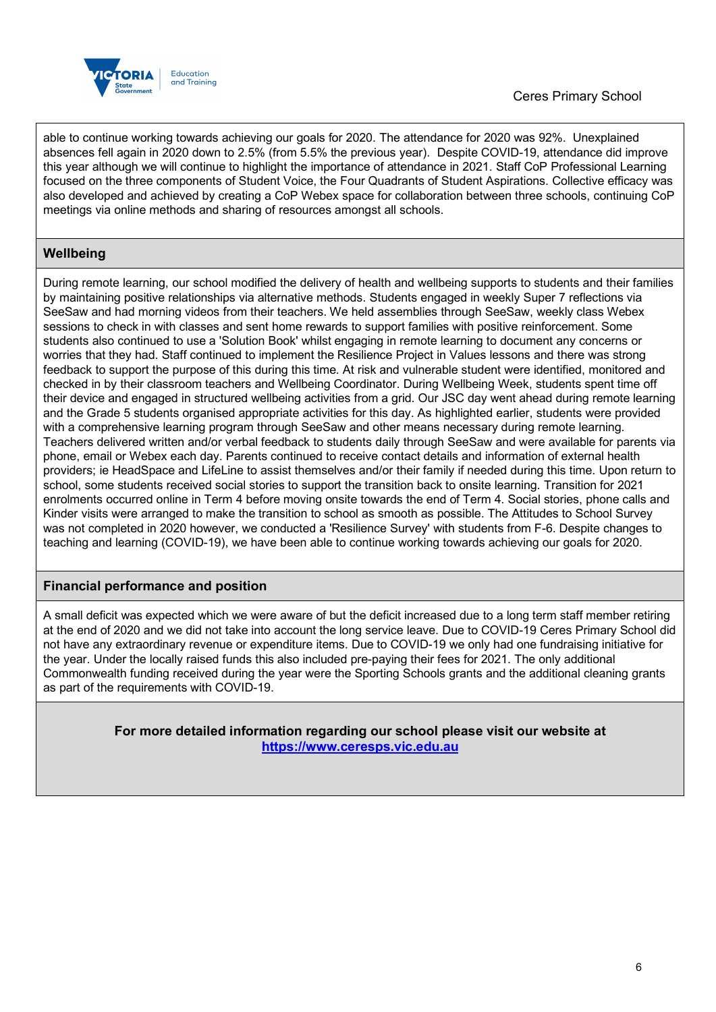

able to continue working towards achieving our goals for 2020. The attendance for 2020 was 92%. Unexplained absences fell again in 2020 down to 2.5% (from 5.5% the previous year). Despite COVID-19, attendance did improve this year although we will continue to highlight the importance of attendance in 2021. Staff CoP Professional Learning focused on the three components of Student Voice, the Four Quadrants of Student Aspirations. Collective efficacy was also developed and achieved by creating a CoP Webex space for collaboration between three schools, continuing CoP meetings via online methods and sharing of resources amongst all schools.

## **Wellbeing**

During remote learning, our school modified the delivery of health and wellbeing supports to students and their families by maintaining positive relationships via alternative methods. Students engaged in weekly Super 7 reflections via SeeSaw and had morning videos from their teachers. We held assemblies through SeeSaw, weekly class Webex sessions to check in with classes and sent home rewards to support families with positive reinforcement. Some students also continued to use a 'Solution Book' whilst engaging in remote learning to document any concerns or worries that they had. Staff continued to implement the Resilience Project in Values lessons and there was strong feedback to support the purpose of this during this time. At risk and vulnerable student were identified, monitored and checked in by their classroom teachers and Wellbeing Coordinator. During Wellbeing Week, students spent time off their device and engaged in structured wellbeing activities from a grid. Our JSC day went ahead during remote learning and the Grade 5 students organised appropriate activities for this day. As highlighted earlier, students were provided with a comprehensive learning program through SeeSaw and other means necessary during remote learning. Teachers delivered written and/or verbal feedback to students daily through SeeSaw and were available for parents via phone, email or Webex each day. Parents continued to receive contact details and information of external health providers; ie HeadSpace and LifeLine to assist themselves and/or their family if needed during this time. Upon return to school, some students received social stories to support the transition back to onsite learning. Transition for 2021 enrolments occurred online in Term 4 before moving onsite towards the end of Term 4. Social stories, phone calls and Kinder visits were arranged to make the transition to school as smooth as possible. The Attitudes to School Survey was not completed in 2020 however, we conducted a 'Resilience Survey' with students from F-6. Despite changes to teaching and learning (COVID-19), we have been able to continue working towards achieving our goals for 2020.

## **Financial performance and position**

A small deficit was expected which we were aware of but the deficit increased due to a long term staff member retiring at the end of 2020 and we did not take into account the long service leave. Due to COVID-19 Ceres Primary School did not have any extraordinary revenue or expenditure items. Due to COVID-19 we only had one fundraising initiative for the year. Under the locally raised funds this also included pre-paying their fees for 2021. The only additional Commonwealth funding received during the year were the Sporting Schools grants and the additional cleaning grants as part of the requirements with COVID-19.

> **For more detailed information regarding our school please visit our website at https://www.ceresps.vic.edu.au**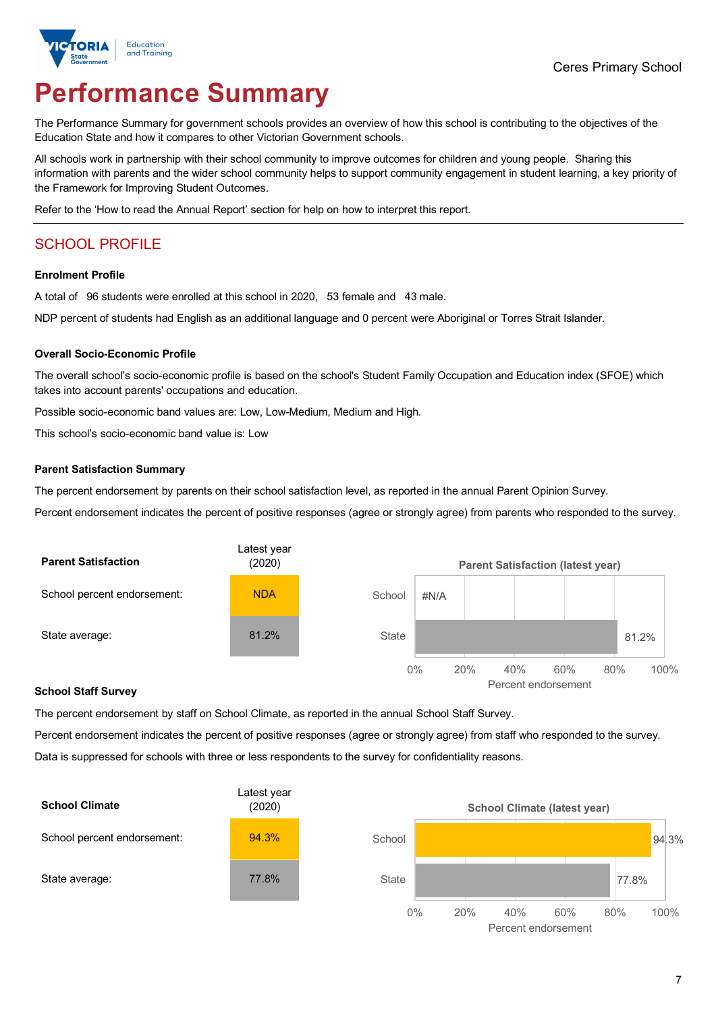

# **Performance Summary**

The Performance Summary for government schools provides an overview of how this school is contributing to the objectives of the Education State and how it compares to other Victorian Government schools.

All schools work in partnership with their school community to improve outcomes for children and young people. Sharing this information with parents and the wider school community helps to support community engagement in student learning, a key priority of the Framework for Improving Student Outcomes.

Refer to the 'How to read the Annual Report' section for help on how to interpret this report.

## SCHOOL PROFILE

### **Enrolment Profile**

A total of 96 students were enrolled at this school in 2020, 53 female and 43 male.

NDP percent of students had English as an additional language and 0 percent were Aboriginal or Torres Strait Islander.

### **Overall Socio-Economic Profile**

The overall school's socio-economic profile is based on the school's Student Family Occupation and Education index (SFOE) which takes into account parents' occupations and education.

Possible socio-economic band values are: Low, Low-Medium, Medium and High.

This school's socio-economic band value is: Low

### **Parent Satisfaction Summary**

The percent endorsement by parents on their school satisfaction level, as reported in the annual Parent Opinion Survey.

Percent endorsement indicates the percent of positive responses (agree or strongly agree) from parents who responded to the survey.



#### **School Staff Survey**

The percent endorsement by staff on School Climate, as reported in the annual School Staff Survey.

Percent endorsement indicates the percent of positive responses (agree or strongly agree) from staff who responded to the survey. Data is suppressed for schools with three or less respondents to the survey for confidentiality reasons.

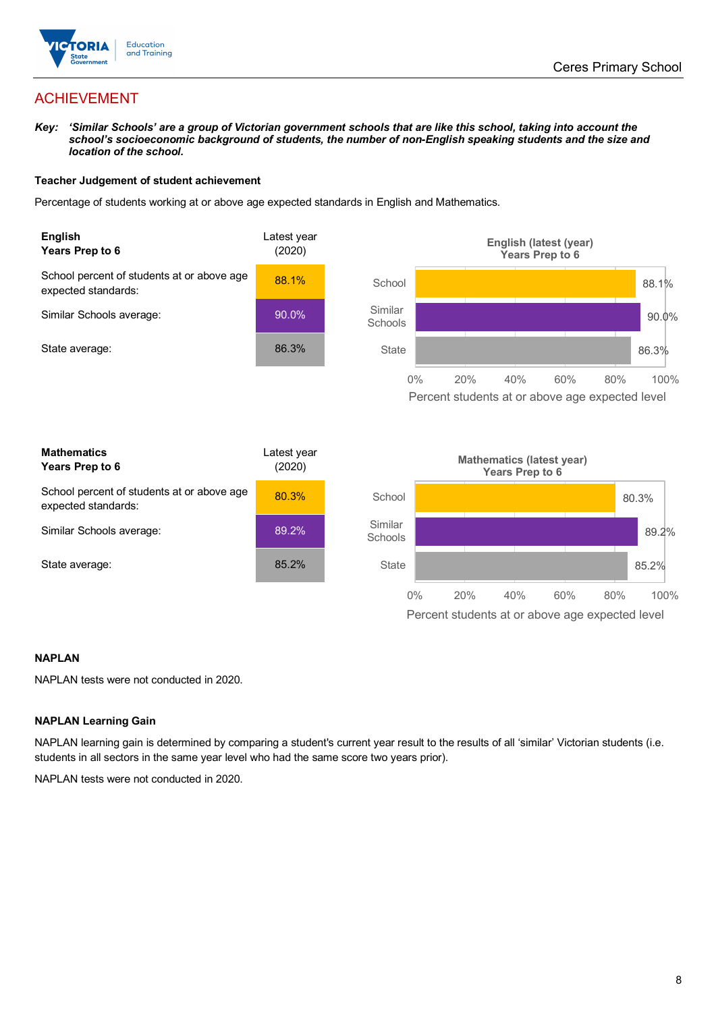

## ACHIEVEMENT

*Key: 'Similar Schools' are a group of Victorian government schools that are like this school, taking into account the*  school's socioeconomic background of students, the number of non-English speaking students and the size and *location of the school.*

### **Teacher Judgement of student achievement**

Percentage of students working at or above age expected standards in English and Mathematics.



### **NAPLAN**

NAPLAN tests were not conducted in 2020.

### **NAPLAN Learning Gain**

NAPLAN learning gain is determined by comparing a student's current year result to the results of all 'similar' Victorian students (i.e. students in all sectors in the same year level who had the same score two years prior).

NAPLAN tests were not conducted in 2020.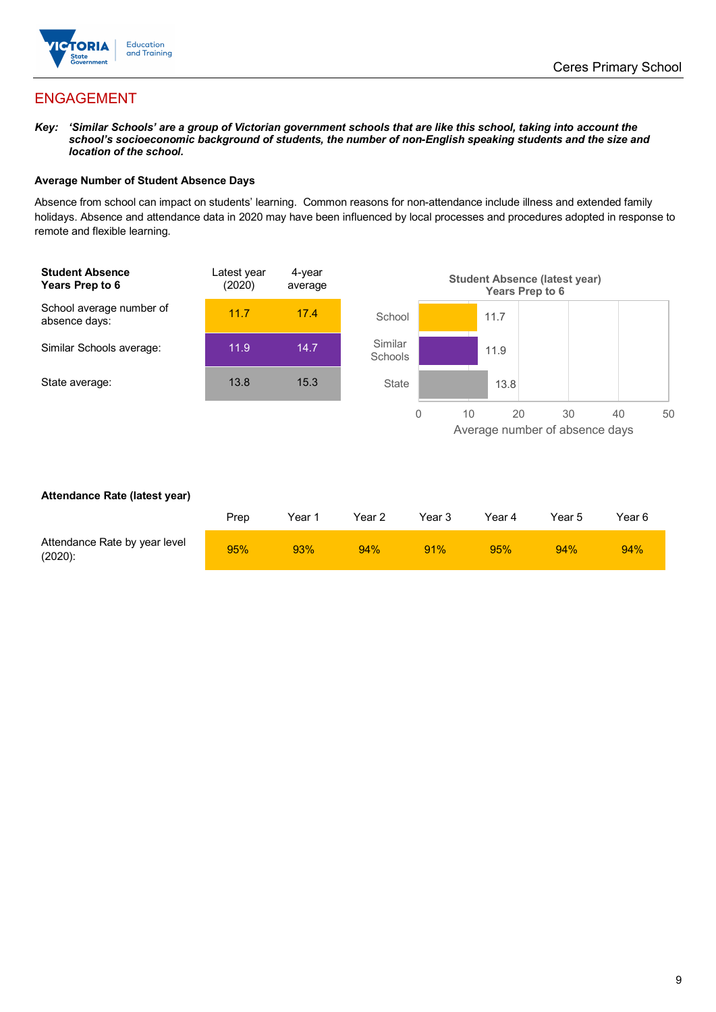

## ENGAGEMENT

*Key: 'Similar Schools' are a group of Victorian government schools that are like this school, taking into account the*  school's socioeconomic background of students, the number of non-English speaking students and the size and *location of the school.*

### **Average Number of Student Absence Days**

Absence from school can impact on students' learning. Common reasons for non-attendance include illness and extended family holidays. Absence and attendance data in 2020 may have been influenced by local processes and procedures adopted in response to remote and flexible learning.



### **Attendance Rate (latest year)**

|                                             | Prep | Year 1 | Year 2 | Year 3 | Year 4 | Year 5 | Year 6 |
|---------------------------------------------|------|--------|--------|--------|--------|--------|--------|
| Attendance Rate by year level<br>$(2020)$ : | 95%  | 93%    | 94%    | 91%    | 95%    | 94%    | 94%    |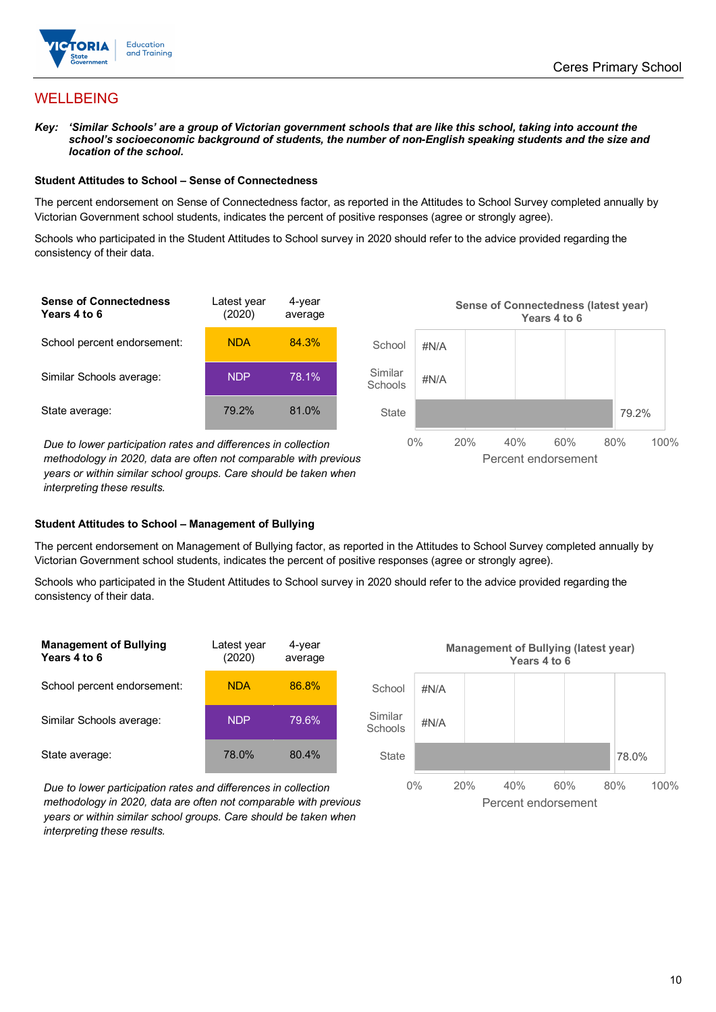

## WELLBEING

*Key: 'Similar Schools' are a group of Victorian government schools that are like this school, taking into account the school's socioeconomic background of students, the number of non-English speaking students and the size and location of the school.*

### **Student Attitudes to School – Sense of Connectedness**

The percent endorsement on Sense of Connectedness factor, as reported in the Attitudes to School Survey completed annually by Victorian Government school students, indicates the percent of positive responses (agree or strongly agree).

Schools who participated in the Student Attitudes to School survey in 2020 should refer to the advice provided regarding the consistency of their data.

| <b>Sense of Connectedness</b><br>Years 4 to 6 | Latest year<br>(2020) | 4-year<br>average |  |
|-----------------------------------------------|-----------------------|-------------------|--|
| School percent endorsement:                   | <b>NDA</b>            | 84.3%             |  |
| Similar Schools average:                      | <b>NDP</b>            | 78.1%             |  |
| State average:                                | 79.2%                 | 81.0%             |  |

*Due to lower participation rates and differences in collection methodology in 2020, data are often not comparable with previous years or within similar school groups. Care should be taken when interpreting these results.*



### **Student Attitudes to School – Management of Bullying**

The percent endorsement on Management of Bullying factor, as reported in the Attitudes to School Survey completed annually by Victorian Government school students, indicates the percent of positive responses (agree or strongly agree).

Schools who participated in the Student Attitudes to School survey in 2020 should refer to the advice provided regarding the consistency of their data.

| <b>Management of Bullying</b><br>Years 4 to 6 | Latest vear<br>(2020) | 4-year<br>average |  |
|-----------------------------------------------|-----------------------|-------------------|--|
| School percent endorsement:                   | <b>NDA</b>            | 86.8%             |  |
| Similar Schools average:                      | <b>NDP</b>            | 79.6%             |  |
| State average:                                | 78.0%                 | 80.4%             |  |

*Due to lower participation rates and differences in collection methodology in 2020, data are often not comparable with previous years or within similar school groups. Care should be taken when interpreting these results.*

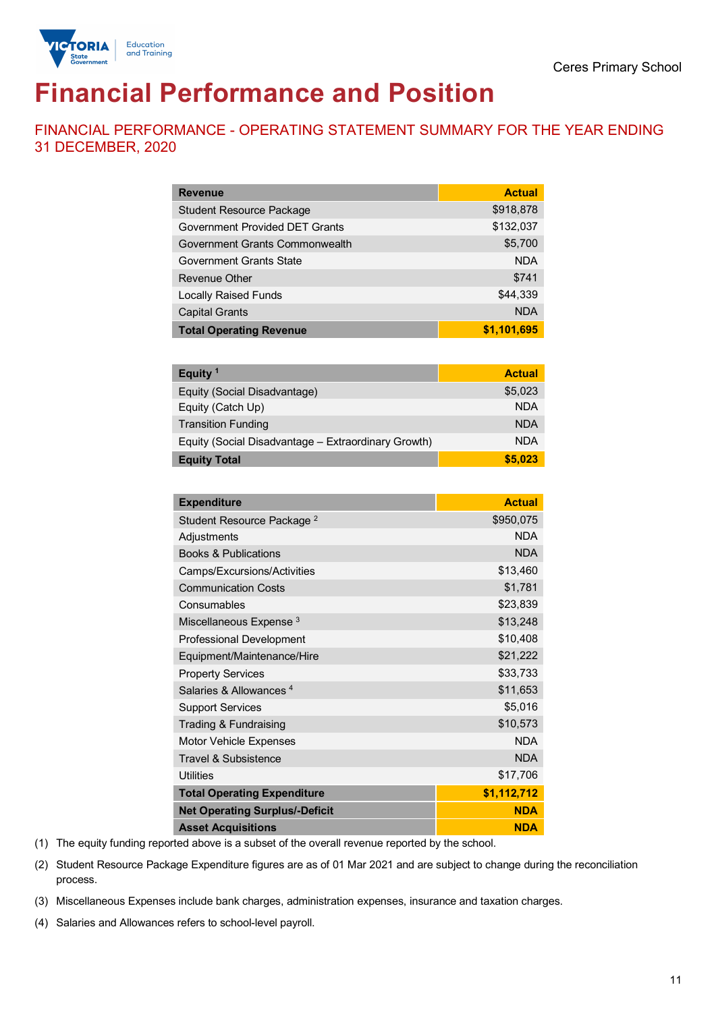

# **Financial Performance and Position**

FINANCIAL PERFORMANCE - OPERATING STATEMENT SUMMARY FOR THE YEAR ENDING 31 DECEMBER, 2020

| <b>Revenue</b>                  | <b>Actual</b> |
|---------------------------------|---------------|
| <b>Student Resource Package</b> | \$918,878     |
| Government Provided DET Grants  | \$132,037     |
| Government Grants Commonwealth  | \$5,700       |
| Government Grants State         | <b>NDA</b>    |
| Revenue Other                   | \$741         |
| <b>Locally Raised Funds</b>     | \$44,339      |
| <b>Capital Grants</b>           | <b>NDA</b>    |
| <b>Total Operating Revenue</b>  | \$1,101,695   |

| Equity <sup>1</sup>                                 | <b>Actual</b> |
|-----------------------------------------------------|---------------|
| Equity (Social Disadvantage)                        | \$5,023       |
| Equity (Catch Up)                                   | <b>NDA</b>    |
| <b>Transition Funding</b>                           | <b>NDA</b>    |
| Equity (Social Disadvantage - Extraordinary Growth) | <b>NDA</b>    |
| <b>Equity Total</b>                                 | \$5.023       |

| <b>Expenditure</b>                    | <b>Actual</b> |
|---------------------------------------|---------------|
| Student Resource Package <sup>2</sup> | \$950,075     |
| Adjustments                           | <b>NDA</b>    |
| <b>Books &amp; Publications</b>       | <b>NDA</b>    |
| Camps/Excursions/Activities           | \$13,460      |
| <b>Communication Costs</b>            | \$1,781       |
| Consumables                           | \$23,839      |
| Miscellaneous Expense <sup>3</sup>    | \$13,248      |
| <b>Professional Development</b>       | \$10,408      |
| Equipment/Maintenance/Hire            | \$21,222      |
| <b>Property Services</b>              | \$33,733      |
| Salaries & Allowances <sup>4</sup>    | \$11,653      |
| <b>Support Services</b>               | \$5,016       |
| Trading & Fundraising                 | \$10,573      |
| Motor Vehicle Expenses                | <b>NDA</b>    |
| Travel & Subsistence                  | <b>NDA</b>    |
| <b>Utilities</b>                      | \$17,706      |
| <b>Total Operating Expenditure</b>    | \$1,112,712   |
| <b>Net Operating Surplus/-Deficit</b> | <b>NDA</b>    |
| <b>Asset Acquisitions</b>             | <b>NDA</b>    |

(1) The equity funding reported above is a subset of the overall revenue reported by the school.

(2) Student Resource Package Expenditure figures are as of 01 Mar 2021 and are subject to change during the reconciliation process.

(3) Miscellaneous Expenses include bank charges, administration expenses, insurance and taxation charges.

(4) Salaries and Allowances refers to school-level payroll.